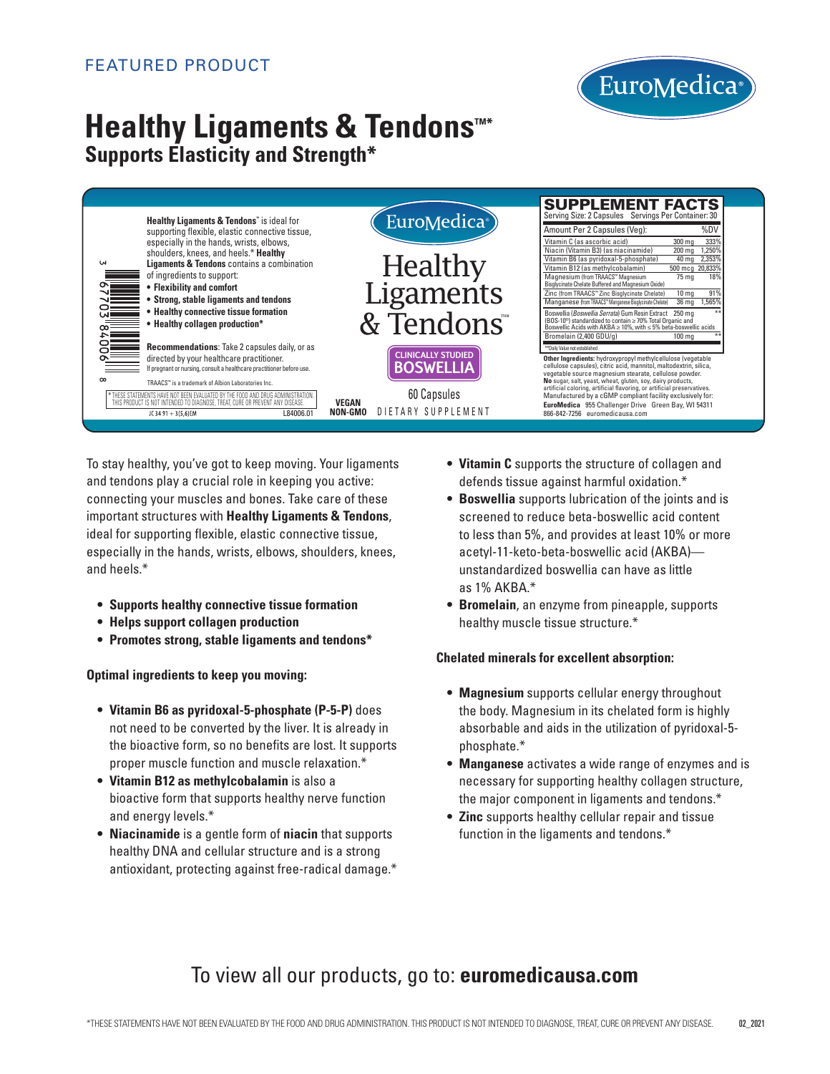

# **Healthy Ligaments & Tendons**<sup>™\*</sup> **Supports Elasticity and Strength\***

|           |                                                                                                                                                                                                                                                                                                                                                                                                                                        |                                            | <b>SUPPLEMENT FACTS</b><br>Serving Size: 2 Capsules Servings Per Container: 30                                                                                                                                                                                                                                                                                                                                                 |
|-----------|----------------------------------------------------------------------------------------------------------------------------------------------------------------------------------------------------------------------------------------------------------------------------------------------------------------------------------------------------------------------------------------------------------------------------------------|--------------------------------------------|--------------------------------------------------------------------------------------------------------------------------------------------------------------------------------------------------------------------------------------------------------------------------------------------------------------------------------------------------------------------------------------------------------------------------------|
| <b>LN</b> | <b>Healthy Ligaments &amp; Tendons</b> " is ideal for<br>supporting flexible, elastic connective tissue,<br>especially in the hands, wrists, elbows,<br>shoulders, knees, and heels.* Healthy<br><b>Ligaments &amp; Tendons</b> contains a combination<br>of ingredients to support:<br>• Flexibility and comfort<br>• Strong, stable ligaments and tendons<br>• Healthy connective tissue formation<br>• Healthy collagen production* | EuroMedica <sup>®</sup>                    | Amount Per 2 Capsules (Veq):<br>%DV                                                                                                                                                                                                                                                                                                                                                                                            |
|           |                                                                                                                                                                                                                                                                                                                                                                                                                                        | Healthy<br>Ligaments                       | Vitamin C (as ascorbic acid)<br>333%<br>$300 \text{ mg}$<br>250%<br>Niacin (Vitamin B3) (as niacinamide)<br>$200$ mg<br>2,353%<br>Vitamin B6 (as pyridoxal-5-phosphate)<br>40 ma<br>Vitamin B12 (as methylcobalamin)<br>500 mcg 20,833%<br>Magnesium (from TRAACS™ Magnesium<br>18%<br>75 mg<br>Bisglycinate Chelate Buffered and Magnesium Oxide)<br>91%<br>Zinc (from TRAACS™ Zinc Bisglycinate Chelate)<br>10 <sub>mg</sub> |
|           |                                                                                                                                                                                                                                                                                                                                                                                                                                        | & Tendons <sup>**</sup>                    | Manganese (from TRAACS" Manganese Bisglycinate Chelate)<br>36 mg 1,565%<br>Boswellia (Boswellia Serrata) Gum Resin Extract 250 mg<br>(BOS-10 <sup>®</sup> ) standardized to contain ≥ 70% Total Organic and<br>Boswellic Acids with AKBA $\geq 10\%$ , with $\leq 5\%$ beta-boswellic acids                                                                                                                                    |
|           | <b>Recommendations:</b> Take 2 capsules daily, or as                                                                                                                                                                                                                                                                                                                                                                                   | <b>CLINICALLY STUDIED</b>                  | Bromelain (2,400 GDU/g)<br>$100 \text{ ma}$<br>** Daily Value not established                                                                                                                                                                                                                                                                                                                                                  |
|           | directed by your healthcare practitioner.<br>If pregnant or nursing, consult a healthcare practitioner before use.                                                                                                                                                                                                                                                                                                                     | BOSWELLIA                                  | Other Ingredients: hydroxypropyl methylcellulose (vegetable<br>cellulose capsules), citric acid, mannitol, maltodextrin, silica,<br>vegetable source magnesium stearate, cellulose powder.                                                                                                                                                                                                                                     |
| $\infty$  | TRAACS™ is a trademark of Albion Laboratories Inc.<br>THESE STATEMENTS HAVE NOT BEEN EVALUATED BY THE FOOD AND DRUG ADM<br>THIS PRODUCT IS NOT INTENDED TO DIAGNOSE, TREAT, CURE OR PREVENT ANY DISEASE                                                                                                                                                                                                                                | 60 Capsules<br>VEGAN<br>DIETARY SUPPLEMENT | No sugar, salt, yeast, wheat, gluten, soy, dairy products,<br>artificial coloring, artificial flavoring, or artificial preservatives.<br>Manufactured by a cGMP compliant facility exclusively for:<br>EuroMedica 955 Challenger Drive Green Bay, WI 54311                                                                                                                                                                     |
|           | L84006.01<br>JC 34 91 + 3(5,6)EM                                                                                                                                                                                                                                                                                                                                                                                                       | NON-GMO                                    | 866-842-7256 euromedicausa.com                                                                                                                                                                                                                                                                                                                                                                                                 |

To stay healthy, you've got to keep moving. Your ligaments and tendons play a crucial role in keeping you active: connecting your muscles and bones. Take care of these important structures with **Healthy Ligaments & Tendons**, ideal for supporting flexible, elastic connective tissue, especially in the hands, wrists, elbows, shoulders, knees, and heels.\*

- **• Supports healthy connective tissue formation**
- **• Helps support collagen production**
- **• Promotes strong, stable ligaments and tendons\***

**Optimal ingredients to keep you moving:**

- **Vitamin B6 as pyridoxal-5-phosphate (P-5-P)** does not need to be converted by the liver. It is already in the bioactive form, so no benefits are lost. It supports proper muscle function and muscle relaxation.\*
- **Vitamin B12 as methylcobalamin** is also a bioactive form that supports healthy nerve function and energy levels.\*
- **Niacinamide** is a gentle form of **niacin** that supports healthy DNA and cellular structure and is a strong antioxidant, protecting against free-radical damage.\*
- $\bullet\,$  **Vitamin C** supports the structure of collagen and defends tissue against harmful oxidation.\*
- **Boswellia** supports lubrication of the joints and is screened to reduce beta-boswellic acid content to less than 5%, and provides at least 10% or more acetyl-11-keto-beta-boswellic acid (AKBA) unstandardized boswellia can have as little as 1% AKBA.\*
- **Bromelain**, an enzyme from pineapple, supports healthy muscle tissue structure.\*

#### **Chelated minerals for excellent absorption:**

- **Magnesium** supports cellular energy throughout the body. Magnesium in its chelated form is highly absorbable and aids in the utilization of pyridoxal-5 phosphate.\*
- **Manganese** activates a wide range of enzymes and is necessary for supporting healthy collagen structure, the major component in ligaments and tendons.\*
- **Zinc** supports healthy cellular repair and tissue function in the ligaments and tendons.\*

## To view all our products, go to: **euromedicausa.com**